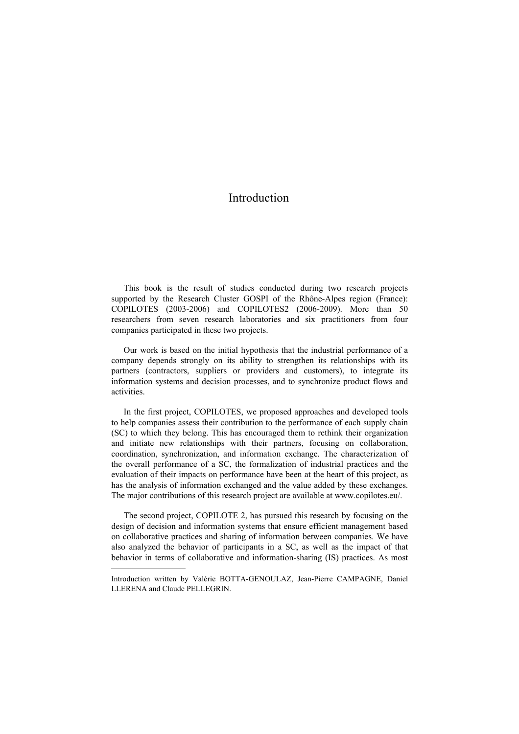# Introduction

This book is the result of studies conducted during two research projects supported by the Research Cluster GOSPI of the Rhône-Alpes region (France): COPILOTES (2003-2006) and COPILOTES2 (2006-2009). More than 50 researchers from seven research laboratories and six practitioners from four companies participated in these two projects.

Our work is based on the initial hypothesis that the industrial performance of a company depends strongly on its ability to strengthen its relationships with its partners (contractors, suppliers or providers and customers), to integrate its information systems and decision processes, and to synchronize product flows and activities.

In the first project, COPILOTES, we proposed approaches and developed tools to help companies assess their contribution to the performance of each supply chain (SC) to which they belong. This has encouraged them to rethink their organization and initiate new relationships with their partners, focusing on collaboration, coordination, synchronization, and information exchange. The characterization of the overall performance of a SC, the formalization of industrial practices and the evaluation of their impacts on performance have been at the heart of this project, as has the analysis of information exchanged and the value added by these exchanges. The major contributions of this research project are available at www.copilotes.eu/.

The second project, COPILOTE 2, has pursued this research by focusing on the design of decision and information systems that ensure efficient management based on collaborative practices and sharing of information between companies. We have also analyzed the behavior of participants in a SC, as well as the impact of that behavior in terms of collaborative and information-sharing (IS) practices. As most

l

Introduction written by Valérie BOTTA-GENOULAZ, Jean-Pierre CAMPAGNE, Daniel LLERENA and Claude PELLEGRIN.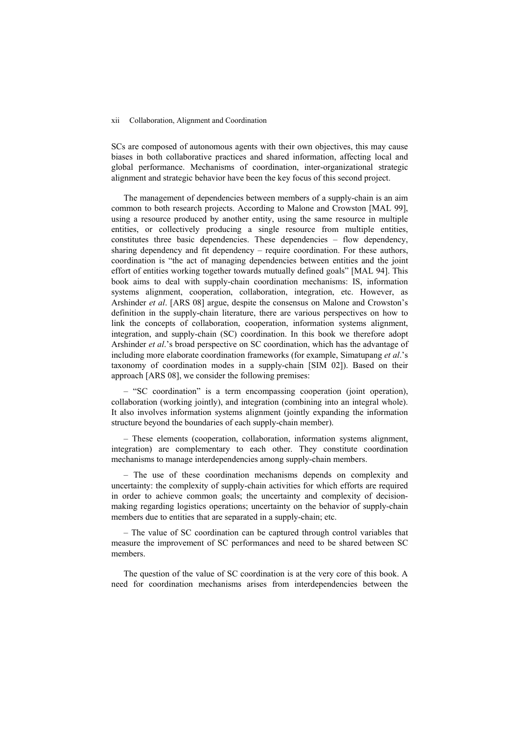# xii Collaboration, Alignment and Coordination

SCs are composed of autonomous agents with their own objectives, this may cause biases in both collaborative practices and shared information, affecting local and global performance. Mechanisms of coordination, inter-organizational strategic alignment and strategic behavior have been the key focus of this second project.

The management of dependencies between members of a supply-chain is an aim common to both research projects. According to Malone and Crowston [MAL 99], using a resource produced by another entity, using the same resource in multiple entities, or collectively producing a single resource from multiple entities, constitutes three basic dependencies. These dependencies – flow dependency, sharing dependency and fit dependency – require coordination. For these authors, coordination is "the act of managing dependencies between entities and the joint effort of entities working together towards mutually defined goals" [MAL 94]. This book aims to deal with supply-chain coordination mechanisms: IS, information systems alignment, cooperation, collaboration, integration, etc. However, as Arshinder *et al*. [ARS 08] argue, despite the consensus on Malone and Crowston's definition in the supply-chain literature, there are various perspectives on how to link the concepts of collaboration, cooperation, information systems alignment, integration, and supply-chain (SC) coordination. In this book we therefore adopt Arshinder *et al*.'s broad perspective on SC coordination, which has the advantage of including more elaborate coordination frameworks (for example, Simatupang *et al*.'s taxonomy of coordination modes in a supply-chain [SIM 02]). Based on their approach [ARS 08], we consider the following premises:

– "SC coordination" is a term encompassing cooperation (joint operation), collaboration (working jointly), and integration (combining into an integral whole). It also involves information systems alignment (jointly expanding the information structure beyond the boundaries of each supply-chain member).

– These elements (cooperation, collaboration, information systems alignment, integration) are complementary to each other. They constitute coordination mechanisms to manage interdependencies among supply-chain members.

– The use of these coordination mechanisms depends on complexity and uncertainty: the complexity of supply-chain activities for which efforts are required in order to achieve common goals; the uncertainty and complexity of decisionmaking regarding logistics operations; uncertainty on the behavior of supply-chain members due to entities that are separated in a supply-chain; etc.

– The value of SC coordination can be captured through control variables that measure the improvement of SC performances and need to be shared between SC members.

The question of the value of SC coordination is at the very core of this book. A need for coordination mechanisms arises from interdependencies between the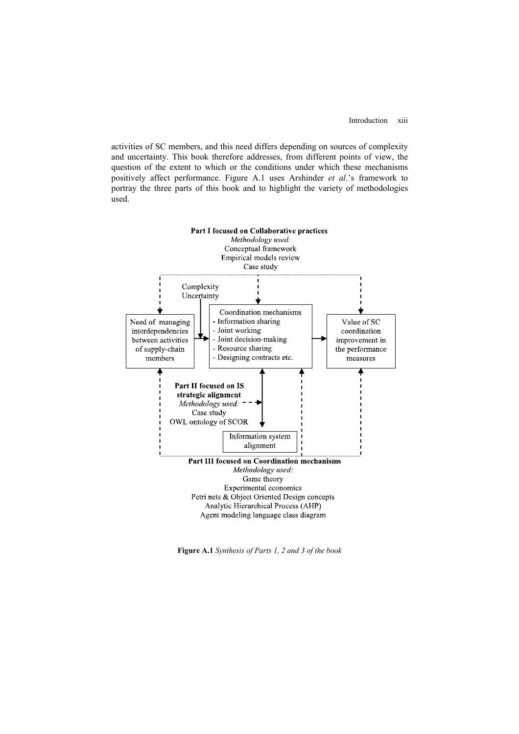activities of SC members, and this need differs depending on sources of complexity and uncertainty. This book therefore addresses, from different points of view, the question of the extent to which or the conditions under which these mechanisms positively affect performance. Figure A.1 uses Arshinder *et al*.'s framework to portray the three parts of this book and to highlight the variety of methodologies used.



**Figure A.1** *Synthesis of Parts 1, 2 and 3 of the book*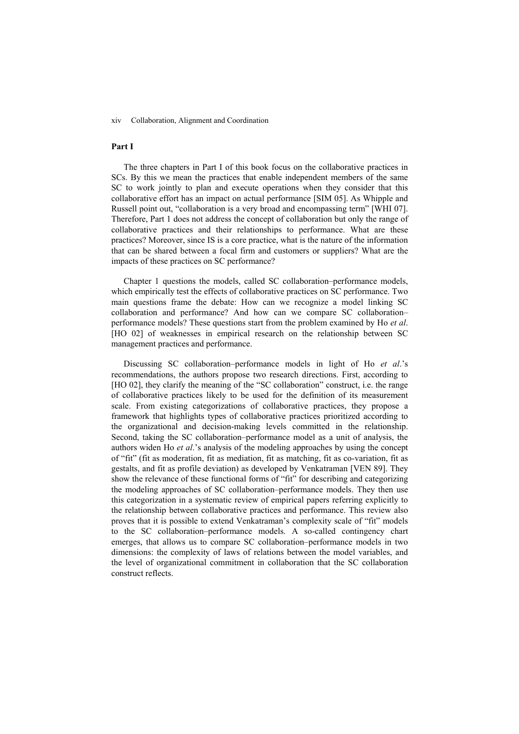# xiv Collaboration, Alignment and Coordination

# **Part I**

The three chapters in Part I of this book focus on the collaborative practices in SCs. By this we mean the practices that enable independent members of the same SC to work jointly to plan and execute operations when they consider that this collaborative effort has an impact on actual performance [SIM 05]. As Whipple and Russell point out, "collaboration is a very broad and encompassing term" [WHI 07]. Therefore, Part 1 does not address the concept of collaboration but only the range of collaborative practices and their relationships to performance. What are these practices? Moreover, since IS is a core practice, what is the nature of the information that can be shared between a focal firm and customers or suppliers? What are the impacts of these practices on SC performance?

Chapter 1 questions the models, called SC collaboration–performance models, which empirically test the effects of collaborative practices on SC performance. Two main questions frame the debate: How can we recognize a model linking SC collaboration and performance? And how can we compare SC collaboration– performance models? These questions start from the problem examined by Ho *et al*. [HO 02] of weaknesses in empirical research on the relationship between SC management practices and performance.

Discussing SC collaboration–performance models in light of Ho *et al*.'s recommendations, the authors propose two research directions. First, according to [HO 02], they clarify the meaning of the "SC collaboration" construct, i.e. the range of collaborative practices likely to be used for the definition of its measurement scale. From existing categorizations of collaborative practices, they propose a framework that highlights types of collaborative practices prioritized according to the organizational and decision-making levels committed in the relationship. Second, taking the SC collaboration–performance model as a unit of analysis, the authors widen Ho *et al*.'s analysis of the modeling approaches by using the concept of "fit" (fit as moderation, fit as mediation, fit as matching, fit as co-variation, fit as gestalts, and fit as profile deviation) as developed by Venkatraman [VEN 89]. They show the relevance of these functional forms of "fit" for describing and categorizing the modeling approaches of SC collaboration–performance models. They then use this categorization in a systematic review of empirical papers referring explicitly to the relationship between collaborative practices and performance. This review also proves that it is possible to extend Venkatraman's complexity scale of "fit" models to the SC collaboration–performance models. A so-called contingency chart emerges, that allows us to compare SC collaboration–performance models in two dimensions: the complexity of laws of relations between the model variables, and the level of organizational commitment in collaboration that the SC collaboration construct reflects.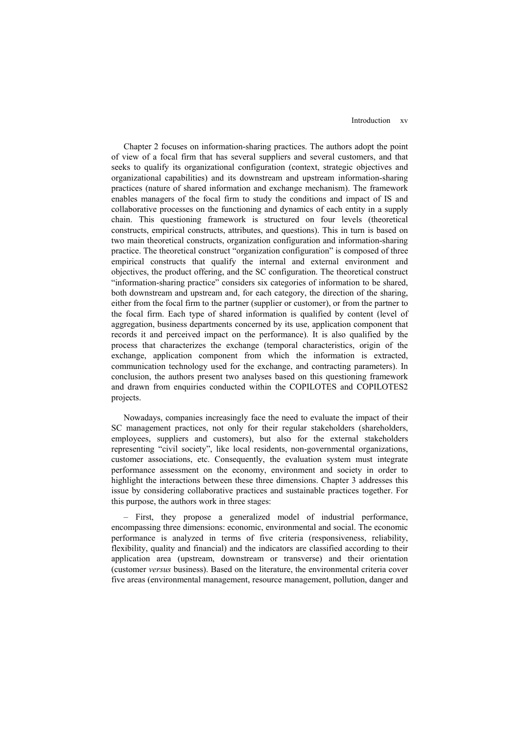#### Introduction xv

Chapter 2 focuses on information-sharing practices. The authors adopt the point of view of a focal firm that has several suppliers and several customers, and that seeks to qualify its organizational configuration (context, strategic objectives and organizational capabilities) and its downstream and upstream information-sharing practices (nature of shared information and exchange mechanism). The framework enables managers of the focal firm to study the conditions and impact of IS and collaborative processes on the functioning and dynamics of each entity in a supply chain. This questioning framework is structured on four levels (theoretical constructs, empirical constructs, attributes, and questions). This in turn is based on two main theoretical constructs, organization configuration and information-sharing practice. The theoretical construct "organization configuration" is composed of three empirical constructs that qualify the internal and external environment and objectives, the product offering, and the SC configuration. The theoretical construct "information-sharing practice" considers six categories of information to be shared, both downstream and upstream and, for each category, the direction of the sharing, either from the focal firm to the partner (supplier or customer), or from the partner to the focal firm. Each type of shared information is qualified by content (level of aggregation, business departments concerned by its use, application component that records it and perceived impact on the performance). It is also qualified by the process that characterizes the exchange (temporal characteristics, origin of the exchange, application component from which the information is extracted, communication technology used for the exchange, and contracting parameters). In conclusion, the authors present two analyses based on this questioning framework and drawn from enquiries conducted within the COPILOTES and COPILOTES2 projects.

Nowadays, companies increasingly face the need to evaluate the impact of their SC management practices, not only for their regular stakeholders (shareholders, employees, suppliers and customers), but also for the external stakeholders representing "civil society", like local residents, non-governmental organizations, customer associations, etc. Consequently, the evaluation system must integrate performance assessment on the economy, environment and society in order to highlight the interactions between these three dimensions. Chapter 3 addresses this issue by considering collaborative practices and sustainable practices together. For this purpose, the authors work in three stages:

– First, they propose a generalized model of industrial performance, encompassing three dimensions: economic, environmental and social. The economic performance is analyzed in terms of five criteria (responsiveness, reliability, flexibility, quality and financial) and the indicators are classified according to their application area (upstream, downstream or transverse) and their orientation (customer *versus* business). Based on the literature, the environmental criteria cover five areas (environmental management, resource management, pollution, danger and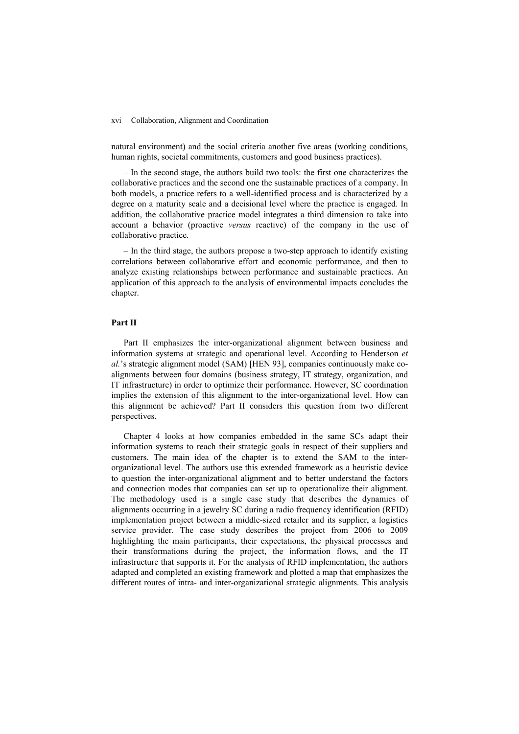# xvi Collaboration, Alignment and Coordination

natural environment) and the social criteria another five areas (working conditions, human rights, societal commitments, customers and good business practices).

– In the second stage, the authors build two tools: the first one characterizes the collaborative practices and the second one the sustainable practices of a company. In both models, a practice refers to a well-identified process and is characterized by a degree on a maturity scale and a decisional level where the practice is engaged. In addition, the collaborative practice model integrates a third dimension to take into account a behavior (proactive *versus* reactive) of the company in the use of collaborative practice.

– In the third stage, the authors propose a two-step approach to identify existing correlations between collaborative effort and economic performance, and then to analyze existing relationships between performance and sustainable practices. An application of this approach to the analysis of environmental impacts concludes the chapter.

#### **Part II**

Part II emphasizes the inter-organizational alignment between business and information systems at strategic and operational level. According to Henderson *et al.*'s strategic alignment model (SAM) [HEN 93], companies continuously make coalignments between four domains (business strategy, IT strategy, organization, and IT infrastructure) in order to optimize their performance. However, SC coordination implies the extension of this alignment to the inter-organizational level. How can this alignment be achieved? Part II considers this question from two different perspectives.

Chapter 4 looks at how companies embedded in the same SCs adapt their information systems to reach their strategic goals in respect of their suppliers and customers. The main idea of the chapter is to extend the SAM to the interorganizational level. The authors use this extended framework as a heuristic device to question the inter-organizational alignment and to better understand the factors and connection modes that companies can set up to operationalize their alignment. The methodology used is a single case study that describes the dynamics of alignments occurring in a jewelry SC during a radio frequency identification (RFID) implementation project between a middle-sized retailer and its supplier, a logistics service provider. The case study describes the project from 2006 to 2009 highlighting the main participants, their expectations, the physical processes and their transformations during the project, the information flows, and the IT infrastructure that supports it. For the analysis of RFID implementation, the authors adapted and completed an existing framework and plotted a map that emphasizes the different routes of intra- and inter-organizational strategic alignments. This analysis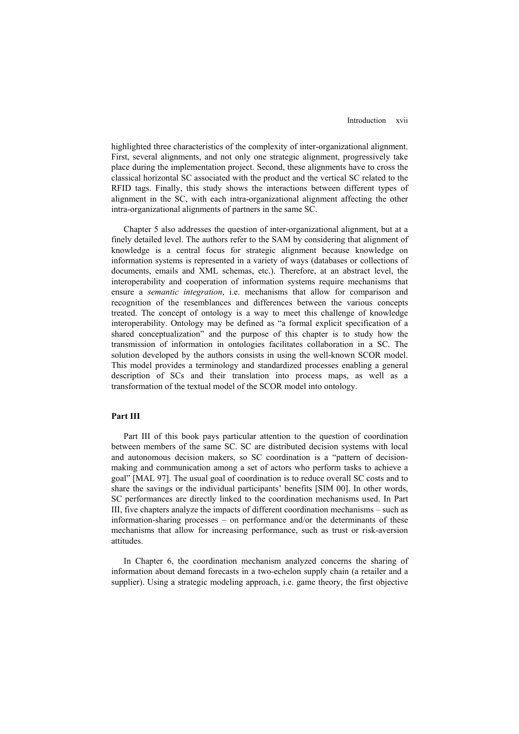highlighted three characteristics of the complexity of inter-organizational alignment. First, several alignments, and not only one strategic alignment, progressively take place during the implementation project. Second, these alignments have to cross the classical horizontal SC associated with the product and the vertical SC related to the RFID tags. Finally, this study shows the interactions between different types of alignment in the SC, with each intra-organizational alignment affecting the other intra-organizational alignments of partners in the same SC.

Chapter 5 also addresses the question of inter-organizational alignment, but at a finely detailed level. The authors refer to the SAM by considering that alignment of knowledge is a central focus for strategic alignment because knowledge on information systems is represented in a variety of ways (databases or collections of documents, emails and XML schemas, etc.). Therefore, at an abstract level, the interoperability and cooperation of information systems require mechanisms that ensure a *semantic integration*, i.e. mechanisms that allow for comparison and recognition of the resemblances and differences between the various concepts treated. The concept of ontology is a way to meet this challenge of knowledge interoperability. Ontology may be defined as "a formal explicit specification of a shared conceptualization" and the purpose of this chapter is to study how the transmission of information in ontologies facilitates collaboration in a SC. The solution developed by the authors consists in using the well-known SCOR model. This model provides a terminology and standardized processes enabling a general description of SCs and their translation into process maps, as well as a transformation of the textual model of the SCOR model into ontology.

# **Part III**

Part III of this book pays particular attention to the question of coordination between members of the same SC. SC are distributed decision systems with local and autonomous decision makers, so SC coordination is a "pattern of decisionmaking and communication among a set of actors who perform tasks to achieve a goal" [MAL 97]. The usual goal of coordination is to reduce overall SC costs and to share the savings or the individual participants' benefits [SIM 00]. In other words, SC performances are directly linked to the coordination mechanisms used. In Part III, five chapters analyze the impacts of different coordination mechanisms – such as information-sharing processes – on performance and/or the determinants of these mechanisms that allow for increasing performance, such as trust or risk-aversion attitudes.

In Chapter 6, the coordination mechanism analyzed concerns the sharing of information about demand forecasts in a two-echelon supply chain (a retailer and a supplier). Using a strategic modeling approach, i.e. game theory, the first objective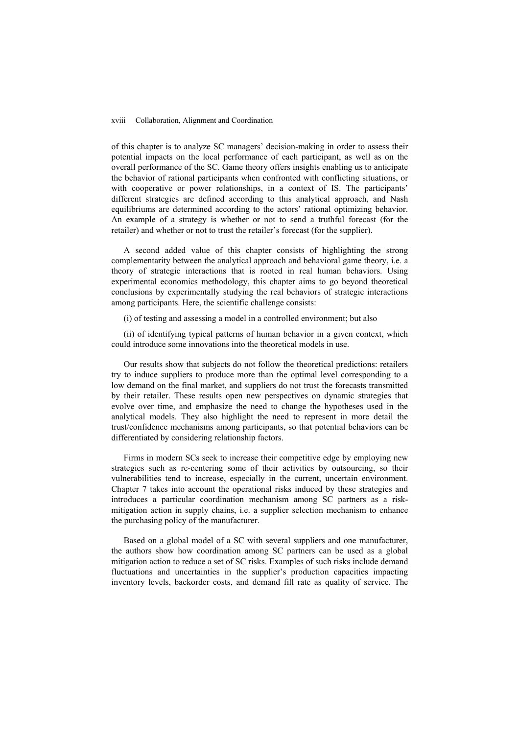# xviii Collaboration, Alignment and Coordination

of this chapter is to analyze SC managers' decision-making in order to assess their potential impacts on the local performance of each participant, as well as on the overall performance of the SC. Game theory offers insights enabling us to anticipate the behavior of rational participants when confronted with conflicting situations, or with cooperative or power relationships, in a context of IS. The participants' different strategies are defined according to this analytical approach, and Nash equilibriums are determined according to the actors' rational optimizing behavior. An example of a strategy is whether or not to send a truthful forecast (for the retailer) and whether or not to trust the retailer's forecast (for the supplier).

A second added value of this chapter consists of highlighting the strong complementarity between the analytical approach and behavioral game theory, i.e. a theory of strategic interactions that is rooted in real human behaviors. Using experimental economics methodology, this chapter aims to go beyond theoretical conclusions by experimentally studying the real behaviors of strategic interactions among participants. Here, the scientific challenge consists:

(i) of testing and assessing a model in a controlled environment; but also

(ii) of identifying typical patterns of human behavior in a given context, which could introduce some innovations into the theoretical models in use.

Our results show that subjects do not follow the theoretical predictions: retailers try to induce suppliers to produce more than the optimal level corresponding to a low demand on the final market, and suppliers do not trust the forecasts transmitted by their retailer. These results open new perspectives on dynamic strategies that evolve over time, and emphasize the need to change the hypotheses used in the analytical models. They also highlight the need to represent in more detail the trust/confidence mechanisms among participants, so that potential behaviors can be differentiated by considering relationship factors.

Firms in modern SCs seek to increase their competitive edge by employing new strategies such as re-centering some of their activities by outsourcing, so their vulnerabilities tend to increase, especially in the current, uncertain environment. Chapter 7 takes into account the operational risks induced by these strategies and introduces a particular coordination mechanism among SC partners as a riskmitigation action in supply chains, i.e. a supplier selection mechanism to enhance the purchasing policy of the manufacturer.

Based on a global model of a SC with several suppliers and one manufacturer, the authors show how coordination among SC partners can be used as a global mitigation action to reduce a set of SC risks. Examples of such risks include demand fluctuations and uncertainties in the supplier's production capacities impacting inventory levels, backorder costs, and demand fill rate as quality of service. The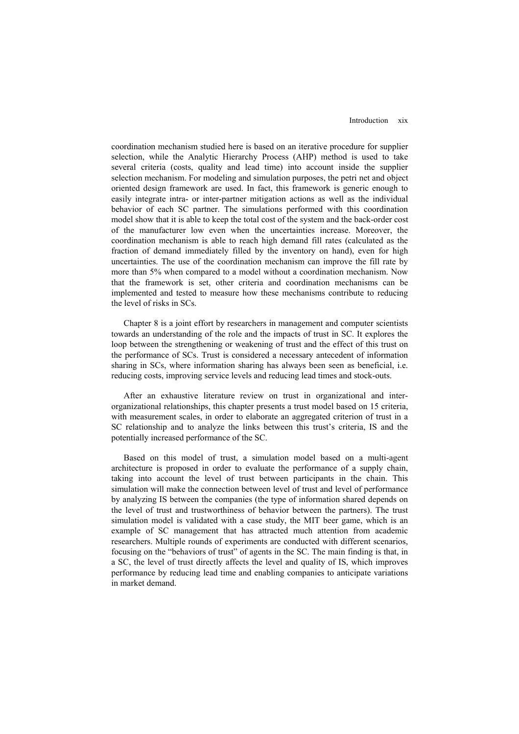coordination mechanism studied here is based on an iterative procedure for supplier selection, while the Analytic Hierarchy Process (AHP) method is used to take several criteria (costs, quality and lead time) into account inside the supplier selection mechanism. For modeling and simulation purposes, the petri net and object oriented design framework are used. In fact, this framework is generic enough to easily integrate intra- or inter-partner mitigation actions as well as the individual behavior of each SC partner. The simulations performed with this coordination model show that it is able to keep the total cost of the system and the back-order cost of the manufacturer low even when the uncertainties increase. Moreover, the coordination mechanism is able to reach high demand fill rates (calculated as the fraction of demand immediately filled by the inventory on hand), even for high uncertainties. The use of the coordination mechanism can improve the fill rate by more than 5% when compared to a model without a coordination mechanism. Now that the framework is set, other criteria and coordination mechanisms can be implemented and tested to measure how these mechanisms contribute to reducing the level of risks in SCs.

Chapter 8 is a joint effort by researchers in management and computer scientists towards an understanding of the role and the impacts of trust in SC. It explores the loop between the strengthening or weakening of trust and the effect of this trust on the performance of SCs. Trust is considered a necessary antecedent of information sharing in SCs, where information sharing has always been seen as beneficial, i.e. reducing costs, improving service levels and reducing lead times and stock-outs.

After an exhaustive literature review on trust in organizational and interorganizational relationships, this chapter presents a trust model based on 15 criteria, with measurement scales, in order to elaborate an aggregated criterion of trust in a SC relationship and to analyze the links between this trust's criteria, IS and the potentially increased performance of the SC.

Based on this model of trust, a simulation model based on a multi-agent architecture is proposed in order to evaluate the performance of a supply chain, taking into account the level of trust between participants in the chain. This simulation will make the connection between level of trust and level of performance by analyzing IS between the companies (the type of information shared depends on the level of trust and trustworthiness of behavior between the partners). The trust simulation model is validated with a case study, the MIT beer game, which is an example of SC management that has attracted much attention from academic researchers. Multiple rounds of experiments are conducted with different scenarios, focusing on the "behaviors of trust" of agents in the SC. The main finding is that, in a SC, the level of trust directly affects the level and quality of IS, which improves performance by reducing lead time and enabling companies to anticipate variations in market demand.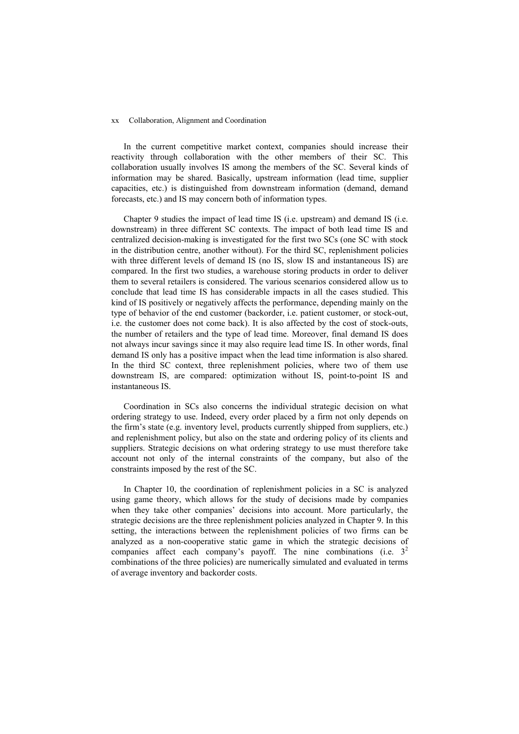# xx Collaboration, Alignment and Coordination

In the current competitive market context, companies should increase their reactivity through collaboration with the other members of their SC. This collaboration usually involves IS among the members of the SC. Several kinds of information may be shared. Basically, upstream information (lead time, supplier capacities, etc.) is distinguished from downstream information (demand, demand forecasts, etc.) and IS may concern both of information types.

Chapter 9 studies the impact of lead time IS (i.e. upstream) and demand IS (i.e. downstream) in three different SC contexts. The impact of both lead time IS and centralized decision-making is investigated for the first two SCs (one SC with stock in the distribution centre, another without). For the third SC, replenishment policies with three different levels of demand IS (no IS, slow IS and instantaneous IS) are compared. In the first two studies, a warehouse storing products in order to deliver them to several retailers is considered. The various scenarios considered allow us to conclude that lead time IS has considerable impacts in all the cases studied. This kind of IS positively or negatively affects the performance, depending mainly on the type of behavior of the end customer (backorder, i.e. patient customer, or stock-out, i.e. the customer does not come back). It is also affected by the cost of stock-outs, the number of retailers and the type of lead time. Moreover, final demand IS does not always incur savings since it may also require lead time IS. In other words, final demand IS only has a positive impact when the lead time information is also shared. In the third SC context, three replenishment policies, where two of them use downstream IS, are compared: optimization without IS, point-to-point IS and instantaneous IS.

Coordination in SCs also concerns the individual strategic decision on what ordering strategy to use. Indeed, every order placed by a firm not only depends on the firm's state (e.g. inventory level, products currently shipped from suppliers, etc.) and replenishment policy, but also on the state and ordering policy of its clients and suppliers. Strategic decisions on what ordering strategy to use must therefore take account not only of the internal constraints of the company, but also of the constraints imposed by the rest of the SC.

In Chapter 10, the coordination of replenishment policies in a SC is analyzed using game theory, which allows for the study of decisions made by companies when they take other companies' decisions into account. More particularly, the strategic decisions are the three replenishment policies analyzed in Chapter 9. In this setting, the interactions between the replenishment policies of two firms can be analyzed as a non-cooperative static game in which the strategic decisions of companies affect each company's payoff. The nine combinations (i.e. 3<sup>2</sup>) combinations of the three policies) are numerically simulated and evaluated in terms of average inventory and backorder costs.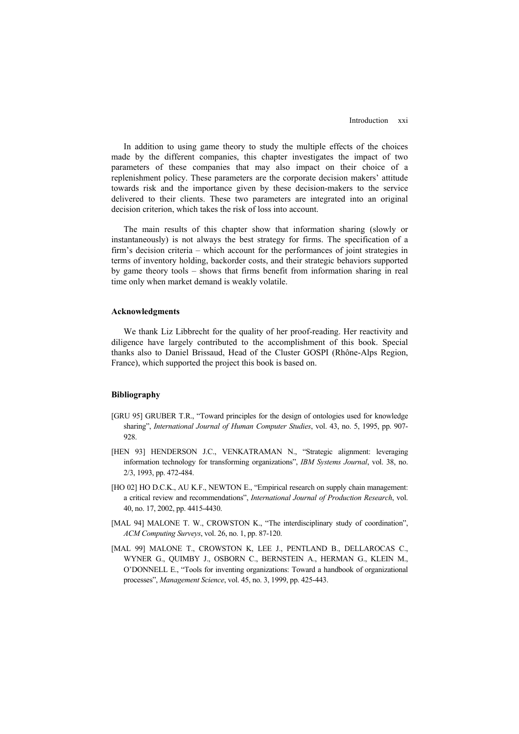In addition to using game theory to study the multiple effects of the choices made by the different companies, this chapter investigates the impact of two parameters of these companies that may also impact on their choice of a replenishment policy. These parameters are the corporate decision makers' attitude towards risk and the importance given by these decision-makers to the service delivered to their clients. These two parameters are integrated into an original decision criterion, which takes the risk of loss into account.

The main results of this chapter show that information sharing (slowly or instantaneously) is not always the best strategy for firms. The specification of a firm's decision criteria – which account for the performances of joint strategies in terms of inventory holding, backorder costs, and their strategic behaviors supported by game theory tools – shows that firms benefit from information sharing in real time only when market demand is weakly volatile.

#### **Acknowledgments**

We thank Liz Libbrecht for the quality of her proof-reading. Her reactivity and diligence have largely contributed to the accomplishment of this book. Special thanks also to Daniel Brissaud, Head of the Cluster GOSPI (Rhône-Alps Region, France), which supported the project this book is based on.

# **Bibliography**

- [GRU 95] GRUBER T.R., "Toward principles for the design of ontologies used for knowledge sharing", *International Journal of Human Computer Studies*, vol. 43, no. 5, 1995, pp. 907- 928.
- [HEN 93] HENDERSON J.C., VENKATRAMAN N., "Strategic alignment: leveraging information technology for transforming organizations", *IBM Systems Journal*, vol. 38, no. 2/3, 1993, pp. 472-484.
- [HO 02] HO D.C.K., AU K.F., NEWTON E., "Empirical research on supply chain management: a critical review and recommendations", *International Journal of Production Research*, vol. 40, no. 17, 2002, pp. 4415-4430.
- [MAL 94] MALONE T. W., CROWSTON K., "The interdisciplinary study of coordination", *ACM Computing Surveys*, vol. 26, no. 1, pp. 87-120.
- [MAL 99] MALONE T., CROWSTON K, LEE J., PENTLAND B., DELLAROCAS C., WYNER G., QUIMBY J., OSBORN C., BERNSTEIN A., HERMAN G., KLEIN M., O'DONNELL E., "Tools for inventing organizations: Toward a handbook of organizational processes", *Management Science*, vol. 45, no. 3, 1999, pp. 425-443.